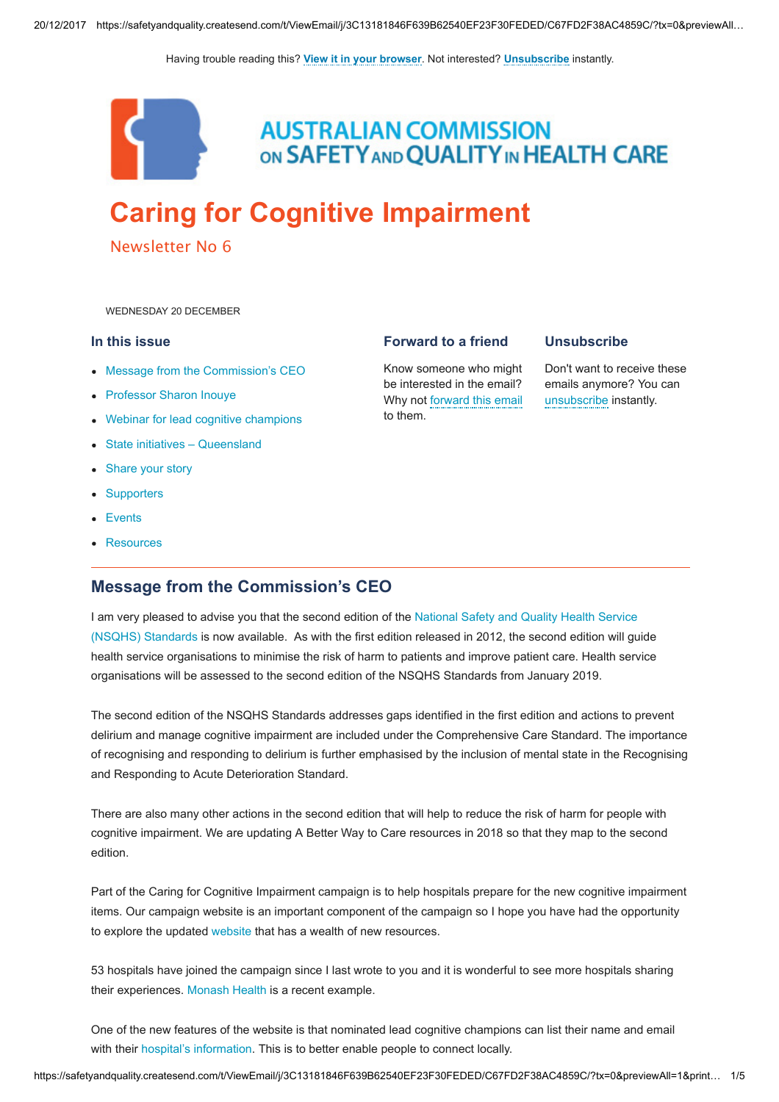Having trouble reading this? [View it in your browser](http://safetyandquality.createsend1.com/t/j-e-oduktlk-l-r/). Not interested? [Unsubscribe](http://safetyandquality.createsend1.com/t/j-u-oduktlk-l-y/) instantly.



**AUSTRALIAN COMMISSION** ON SAFETY AND QUALITY IN HEALTH CARE

# [Caring for Cognitive Impairment](http://safetyandquality.createsend1.com/t/j-l-oduktlk-l-i/)

Newsletter No 6

<span id="page-0-1"></span>WEDNESDAY 20 DECEMBER

#### In this issue

- [Message from the Commission's CEO](#page-0-0)
- Professor Sharon Inouve
- [Webinar for lead cognitive champions](#page-2-0)
- [State initiatives Queensland](#page-2-1)
- [Share your story](#page-3-0)
- [Supporters](#page-3-1)
- **[Events](#page-3-2)**
- [Resources](#page-4-0)

#### Forward to a friend

Know someone who might be interested in the email? Why not [forward this email](http://safetyandquality.forwardtomyfriend.com/j-l-2AD73FFF-oduktlk-l-j) to them.

#### **Unsubscribe**

Don't want to receive these emails anymore? You can [unsubscribe](http://safetyandquality.createsend1.com/t/j-u-oduktlk-l-t/) instantly.

## <span id="page-0-0"></span>Message from the Commission's CEO

I am very pleased to advise you that the second edition of the National Safety and Quality Health Service [\(NSQHS\) Standards is now available. As with the first edition released in 2012, the second edition will gu](http://safetyandquality.createsend1.com/t/j-l-oduktlk-l-d/)ide health service organisations to minimise the risk of harm to patients and improve patient care. Health service organisations will be assessed to the second edition of the NSQHS Standards from January 2019.

The second edition of the NSQHS Standards addresses gaps identified in the first edition and actions to prevent delirium and manage cognitive impairment are included under the Comprehensive Care Standard. The importance of recognising and responding to delirium is further emphasised by the inclusion of mental state in the Recognising and Responding to Acute Deterioration Standard.

There are also many other actions in the second edition that will help to reduce the risk of harm for people with cognitive impairment. We are updating A Better Way to Care resources in 2018 so that they map to the second edition.

Part of the Caring for Cognitive Impairment campaign is to help hospitals prepare for the new cognitive impairment items. Our campaign website is an important component of the campaign so I hope you have had the opportunity to explore the updated [website](http://safetyandquality.createsend1.com/t/j-l-oduktlk-l-h/) that has a wealth of new resources.

53 hospitals have joined the campaign since I last wrote to you and it is wonderful to see more hospitals sharing their experiences. [Monash Health](http://safetyandquality.createsend1.com/t/j-l-oduktlk-l-k/) is a recent example.

One of the new features of the website is that nominated lead cognitive champions can list their name and email with their [hospital's information.](http://safetyandquality.createsend1.com/t/j-l-oduktlk-l-p/) This is to better enable people to connect locally.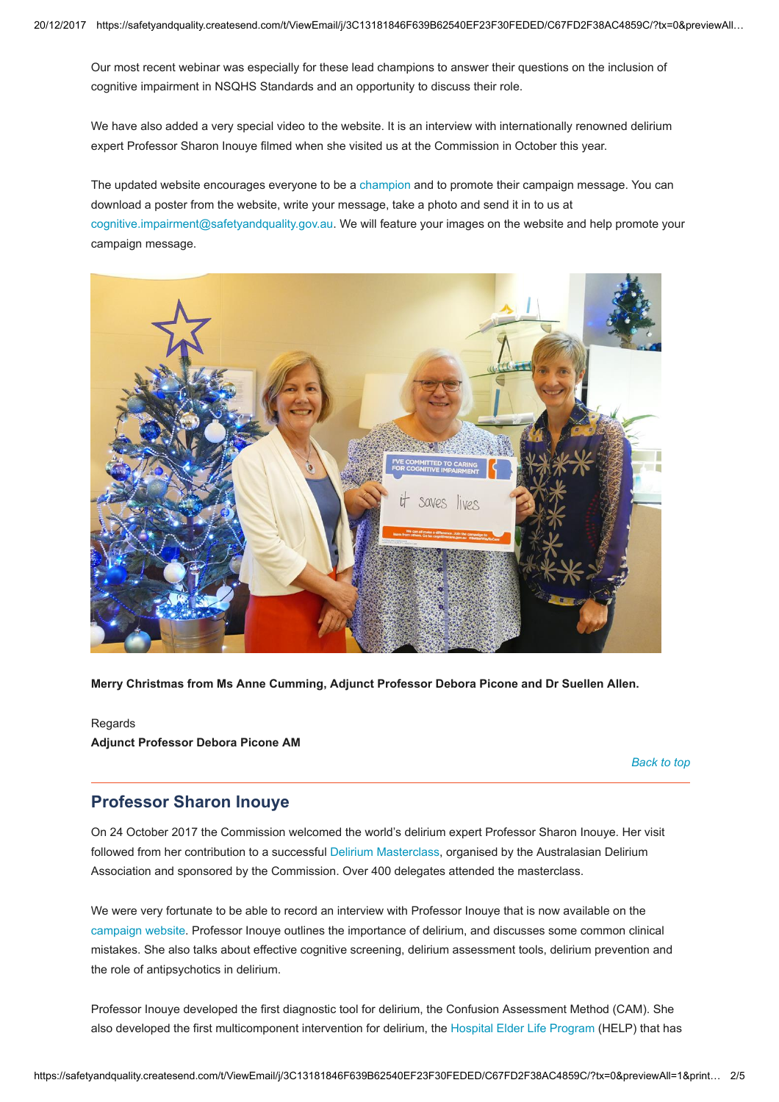Our most recent webinar was especially for these lead champions to answer their questions on the inclusion of cognitive impairment in NSQHS Standards and an opportunity to discuss their role.

We have also added a very special video to the website. It is an interview with internationally renowned delirium expert Professor Sharon Inouye filmed when she visited us at the Commission in October this year.

The updated website encourages everyone to be a [champion](http://safetyandquality.createsend1.com/t/j-l-oduktlk-l-x/) and to promote their campaign message. You can download a poster from the website, write your message, take a photo and send it in to us at [cognitive.impairment@safetyandquality.gov.au.](mailto:cognitive.impairment@safetyandquality.gov.au) We will feature your images on the website and help promote your campaign message.



Merry Christmas from Ms Anne Cumming, Adjunct Professor Debora Picone and Dr Suellen Allen.

Regards Adjunct Professor Debora Picone AM

[Back to top](#page-0-1)

## <span id="page-1-0"></span>Professor Sharon Inouye

On 24 October 2017 the Commission welcomed the world's delirium expert Professor Sharon Inouye. Her visit followed from her contribution to a successful [Delirium Masterclass,](http://safetyandquality.createsend1.com/t/j-l-oduktlk-l-m/) organised by the Australasian Delirium Association and sponsored by the Commission. Over 400 delegates attended the masterclass.

We were very fortunate to be able to record an interview with Professor Inouve that is now available on the [campaign website.](http://safetyandquality.createsend1.com/t/j-l-oduktlk-l-c/) Professor Inouye outlines the importance of delirium, and discusses some common clinical mistakes. She also talks about effective cognitive screening, delirium assessment tools, delirium prevention and the role of antipsychotics in delirium.

Professor Inouye developed the first diagnostic tool for delirium, the Confusion Assessment Method (CAM). She also developed the first multicomponent intervention for delirium, the [Hospital Elder Life Program](http://safetyandquality.createsend1.com/t/j-l-oduktlk-l-q/) (HELP) that has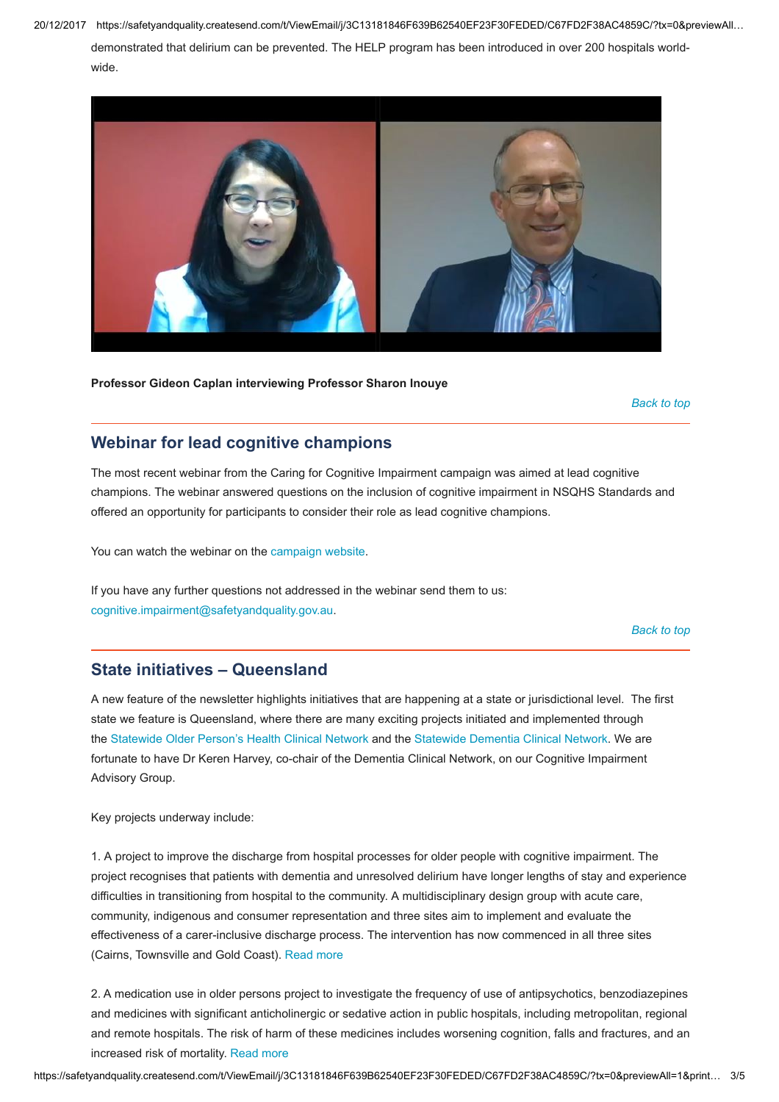20/12/2017 https://safetyandquality.createsend.com/t/ViewEmail/j/3C13181846F639B62540EF23F30FEDED/C67FD2F38AC4859C/?tx=0&previewAll…

demonstrated that delirium can be prevented. The HELP program has been introduced in over 200 hospitals worldwide.



Professor Gideon Caplan interviewing Professor Sharon Inouye

[Back to top](#page-0-1)

# <span id="page-2-0"></span>Webinar for lead cognitive champions

The most recent webinar from the Caring for Cognitive Impairment campaign was aimed at lead cognitive champions. The webinar answered questions on the inclusion of cognitive impairment in NSQHS Standards and offered an opportunity for participants to consider their role as lead cognitive champions.

You can watch the webinar on the [campaign website.](http://safetyandquality.createsend1.com/t/j-l-oduktlk-l-f/)

If you have any further questions not addressed in the webinar send them to us: [cognitive.impairment@safetyandquality.gov.au.](mailto:cognitive.impairment@safetyandquality.gov.au)

[Back to top](#page-0-1)

# <span id="page-2-1"></span>State initiatives – Queensland

A new feature of the newsletter highlights initiatives that are happening at a state or jurisdictional level. The first state we feature is Queensland, where there are many exciting projects initiated and implemented through the [Statewide Older Person's Health Clinical Network](http://safetyandquality.createsend1.com/t/j-l-oduktlk-l-z/) and the [Statewide Dementia Clinical Network](http://safetyandquality.createsend1.com/t/j-l-oduktlk-l-v/). We are fortunate to have Dr Keren Harvey, co-chair of the Dementia Clinical Network, on our Cognitive Impairment Advisory Group.

Key projects underway include:

1. A project to improve the discharge from hospital processes for older people with cognitive impairment. The project recognises that patients with dementia and unresolved delirium have longer lengths of stay and experience difficulties in transitioning from hospital to the community. A multidisciplinary design group with acute care, community, indigenous and consumer representation and three sites aim to implement and evaluate the effectiveness of a carer-inclusive discharge process. The intervention has now commenced in all three sites (Cairns, Townsville and Gold Coast). [Read more](http://safetyandquality.createsend1.com/t/j-l-oduktlk-l-e/)

2. A medication use in older persons project to investigate the frequency of use of antipsychotics, benzodiazepines and medicines with significant anticholinergic or sedative action in public hospitals, including metropolitan, regional and remote hospitals. The risk of harm of these medicines includes worsening cognition, falls and fractures, and an increased risk of mortality. [Read more](http://safetyandquality.createsend1.com/t/j-l-oduktlk-l-s/)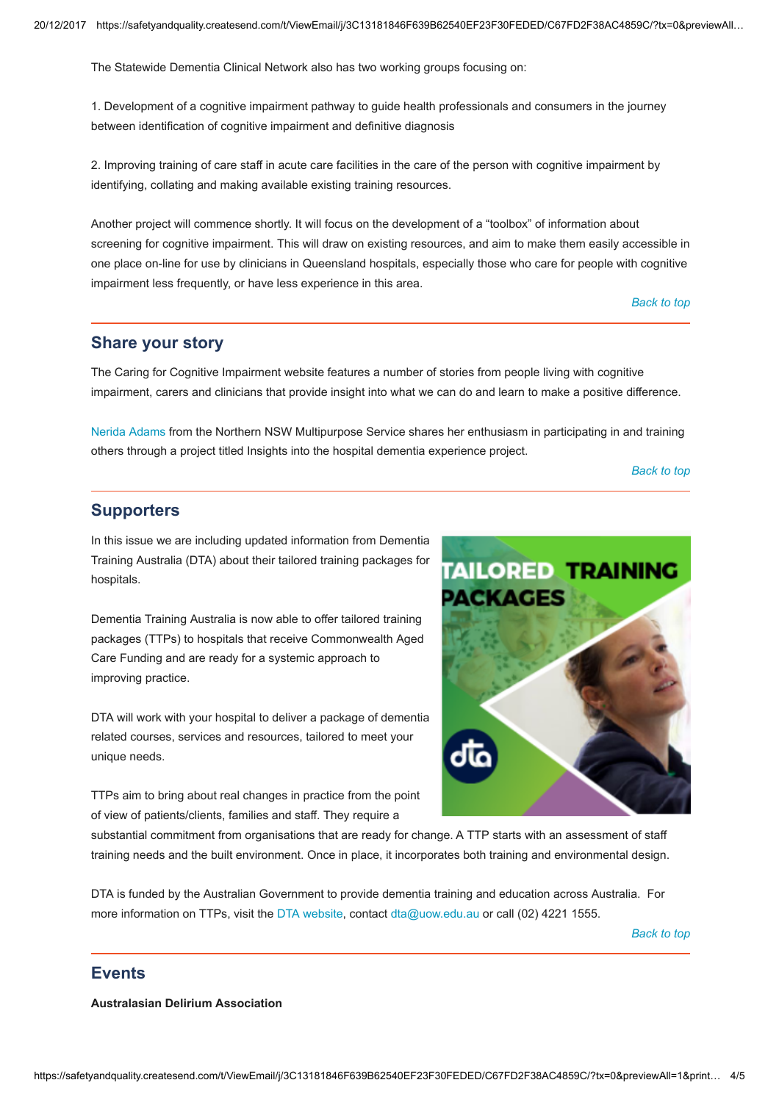The Statewide Dementia Clinical Network also has two working groups focusing on:

1. Development of a cognitive impairment pathway to guide health professionals and consumers in the journey between identification of cognitive impairment and definitive diagnosis

2. Improving training of care staff in acute care facilities in the care of the person with cognitive impairment by identifying, collating and making available existing training resources.

Another project will commence shortly. It will focus on the development of a "toolbox" of information about screening for cognitive impairment. This will draw on existing resources, and aim to make them easily accessible in one place on-line for use by clinicians in Queensland hospitals, especially those who care for people with cognitive impairment less frequently, or have less experience in this area.

[Back to top](#page-0-1)

## <span id="page-3-0"></span>Share your story

The Caring for Cognitive Impairment website features a number of stories from people living with cognitive impairment, carers and clinicians that provide insight into what we can do and learn to make a positive difference.

[Nerida Adams](http://safetyandquality.createsend1.com/t/j-l-oduktlk-l-g/) from the Northern NSW Multipurpose Service shares her enthusiasm in participating in and training others through a project titled Insights into the hospital dementia experience project.

[Back to top](#page-0-1)

# <span id="page-3-1"></span>**Supporters**

In this issue we are including updated information from Dementia Training Australia (DTA) about their tailored training packages for hospitals.

Dementia Training Australia is now able to offer tailored training packages (TTPs) to hospitals that receive Commonwealth Aged Care Funding and are ready for a systemic approach to improving practice.

DTA will work with your hospital to deliver a package of dementia related courses, services and resources, tailored to meet your unique needs.

TTPs aim to bring about real changes in practice from the point of view of patients/clients, families and staff. They require a



substantial commitment from organisations that are ready for change. A TTP starts with an assessment of staff training needs and the built environment. Once in place, it incorporates both training and environmental design.

DTA is funded by the Australian Government to provide dementia training and education across Australia. For more information on TTPs, visit the [DTA website,](http://safetyandquality.createsend1.com/t/j-l-oduktlk-l-yd/) contact [dta@uow.edu.au](mailto:dta@uow.edu.au) or call (02) 4221 1555.

[Back to top](#page-0-1)

## <span id="page-3-2"></span>**Events**

Australasian Delirium Association